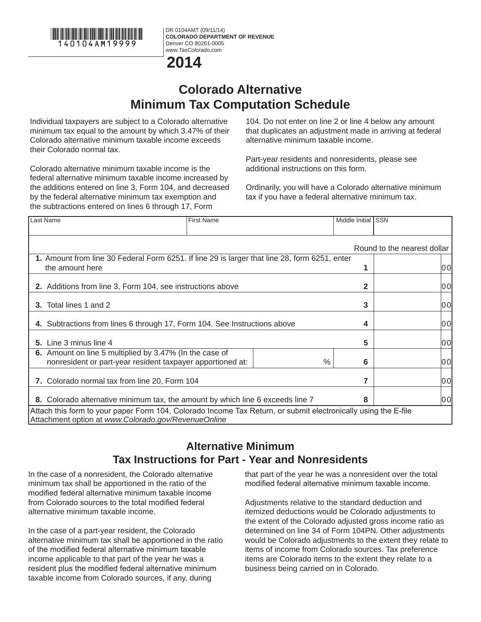

DR 0104AMT (09/11/14) **COLORADO DEPARTMENT OF REVENUE** Denver CO 80261-0005 *www.TaxColorado.com*



## **Colorado Alternative Minimum Tax Computation Schedule**

Individual taxpayers are subject to a Colorado alternative minimum tax equal to the amount by which 3.47% of their Colorado alternative minimum taxable income exceeds their Colorado normal tax.

Colorado alternative minimum taxable income is the federal alternative minimum taxable income increased by the additions entered on line 3, Form 104, and decreased by the federal alternative minimum tax exemption and the subtractions entered on lines 6 through 17, Form

104. Do not enter on line 2 or line 4 below any amount that duplicates an adjustment made in arriving at federal alternative minimum taxable income.

Part-year residents and nonresidents, please see additional instructions on this form.

Ordinarily, you will have a Colorado alternative minimum tax if you have a federal alternative minimum tax.

| Last Name                                                                                                                                                             | <b>First Name</b> |      | Middle Initial ISSN |                             |
|-----------------------------------------------------------------------------------------------------------------------------------------------------------------------|-------------------|------|---------------------|-----------------------------|
|                                                                                                                                                                       |                   |      |                     | Round to the nearest dollar |
| 1. Amount from line 30 Federal Form 6251. If line 29 is larger that line 28, form 6251, enter<br>the amount here                                                      |                   |      |                     | l0 Ol                       |
| 2. Additions from line 3, Form 104, see instructions above                                                                                                            |                   |      | 2                   | 0 O                         |
| Total lines 1 and 2<br>3.                                                                                                                                             |                   |      | 3                   | 0 O                         |
| 4. Subtractions from lines 6 through 17, Form 104. See Instructions above                                                                                             |                   |      | 4                   | 0 O                         |
| 5. Line 3 minus line 4                                                                                                                                                |                   |      | 5                   | l0 Ol                       |
| 6. Amount on line 5 multiplied by 3.47% (In the case of<br>nonresident or part-year resident taxpayer apportioned at:                                                 |                   | $\%$ | 6                   | 0 O                         |
| 7. Colorado normal tax from line 20, Form 104                                                                                                                         |                   |      |                     | 0 O                         |
| 8. Colorado alternative minimum tax, the amount by which line 6 exceeds line 7<br>8                                                                                   |                   |      |                     | l0 Ol                       |
| Attach this form to your paper Form 104, Colorado Income Tax Return, or submit electronically using the E-file<br>Attachment option at www.Colorado.gov/RevenueOnline |                   |      |                     |                             |

## **Alternative Minimum Tax Instructions for Part - Year and Nonresidents**

In the case of a nonresident, the Colorado alternative minimum tax shall be apportioned in the ratio of the modified federal alternative minimum taxable income from Colorado sources to the total modified federal alternative minimum taxable income.

In the case of a part-year resident, the Colorado alternative minimum tax shall be apportioned in the ratio of the modified federal alternative minimum taxable income applicable to that part of the year he was a resident plus the modified federal alternative minimum taxable income from Colorado sources, if any, during

that part of the year he was a nonresident over the total modified federal alternative minimum taxable income.

Adjustments relative to the standard deduction and itemized deductions would be Colorado adjustments to the extent of the Colorado adjusted gross income ratio as determined on line 34 of Form 104PN. Other adjustments would be Colorado adjustments to the extent they relate to items of income from Colorado sources. Tax preference items are Colorado items to the extent they relate to a business being carried on in Colorado.